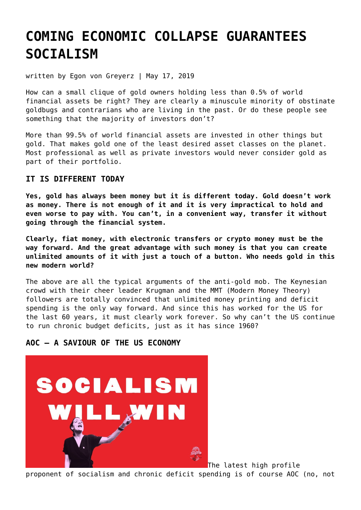# **[COMING ECONOMIC COLLAPSE GUARANTEES](https://goldswitzerland.com/coming-economic-collapse-guarantees-socialism/) [SOCIALISM](https://goldswitzerland.com/coming-economic-collapse-guarantees-socialism/)**

written by Egon von Greyerz | May 17, 2019

How can a small clique of gold owners holding less than 0.5% of world financial assets be right? They are clearly a minuscule minority of obstinate goldbugs and contrarians who are living in the past. Or do these people see something that the majority of investors don't?

More than 99.5% of world financial assets are invested in other things but gold. That makes gold one of the least desired asset classes on the planet. Most professional as well as private investors would never consider gold as part of their portfolio.

## **IT IS DIFFERENT TODAY**

**Yes, gold has always been money but it is different today. Gold doesn't work as money. There is not enough of it and it is very impractical to hold and even worse to pay with. You can't, in a convenient way, transfer it without going through the financial system.**

**Clearly, fiat money, with electronic transfers or crypto money must be the way forward. And the great advantage with such money is that you can create unlimited amounts of it with just a touch of a button. Who needs gold in this new modern world?**

The above are all the typical arguments of the anti-gold mob. The Keynesian crowd with their cheer leader Krugman and the MMT (Modern Money Theory) followers are totally convinced that unlimited money printing and deficit spending is the only way forward. And since this has worked for the US for the last 60 years, it must clearly work forever. So why can't the US continue to run chronic budget deficits, just as it has since 1960?

## **AOC – A SAVIOUR OF THE US ECONOMY**



The latest high profile proponent of socialism and chronic deficit spending is of course AOC (no, not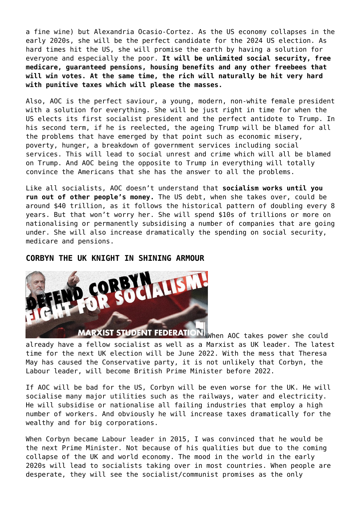a fine wine) but Alexandria Ocasio-Cortez. As the US economy collapses in the early 2020s, she will be the perfect candidate for the 2024 US election. As hard times hit the US, she will promise the earth by having a solution for everyone and especially the poor. **It will be unlimited social security, free medicare, guaranteed pensions, housing benefits and any other freebees that will win votes. At the same time, the rich will naturally be hit very hard with punitive taxes which will please the masses.**

Also, AOC is the perfect saviour, a young, modern, non-white female president with a solution for everything. She will be just right in time for when the US elects its first socialist president and the perfect antidote to Trump. In his second term, if he is reelected, the ageing Trump will be blamed for all the problems that have emerged by that point such as economic misery, poverty, hunger, a breakdown of government services including social services. This will lead to social unrest and crime which will all be blamed on Trump. And AOC being the opposite to Trump in everything will totally convince the Americans that she has the answer to all the problems.

Like all socialists, AOC doesn't understand that **socialism works until you run out of other people's money.** The US debt, when she takes over, could be around \$40 trillion, as it follows the historical pattern of doubling every 8 years. But that won't worry her. She will spend \$10s of trillions or more on nationalising or permanently subsidising a number of companies that are going under. She will also increase dramatically the spending on social security, medicare and pensions.

#### **CORBYN THE UK KNIGHT IN SHINING ARMOUR**



MARXIST STUDENT FEDERATION When AOC takes power she could already have a fellow socialist as well as a Marxist as UK leader. The latest time for the next UK election will be June 2022. With the mess that Theresa May has caused the Conservative party, it is not unlikely that Corbyn, the Labour leader, will become British Prime Minister before 2022.

If AOC will be bad for the US, Corbyn will be even worse for the UK. He will socialise many major utilities such as the railways, water and electricity. He will subsidise or nationalise all failing industries that employ a high number of workers. And obviously he will increase taxes dramatically for the wealthy and for big corporations.

When Corbyn became Labour leader in 2015, I was convinced that he would be the next Prime Minister. Not because of his qualities but due to the coming collapse of the UK and world economy. The mood in the world in the early 2020s will lead to socialists taking over in most countries. When people are desperate, they will see the socialist/communist promises as the only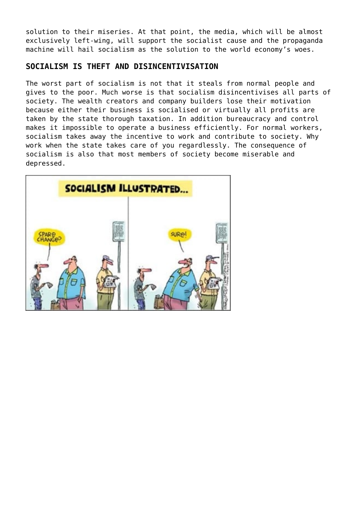solution to their miseries. At that point, the media, which will be almost exclusively left-wing, will support the socialist cause and the propaganda machine will hail socialism as the solution to the world economy's woes.

## **SOCIALISM IS THEFT AND DISINCENTIVISATION**

The worst part of socialism is not that it steals from normal people and gives to the poor. Much worse is that socialism disincentivises all parts of society. The wealth creators and company builders lose their motivation because either their business is socialised or virtually all profits are taken by the state thorough taxation. In addition bureaucracy and control makes it impossible to operate a business efficiently. For normal workers, socialism takes away the incentive to work and contribute to society. Why work when the state takes care of you regardlessly. The consequence of socialism is also that most members of society become miserable and depressed.

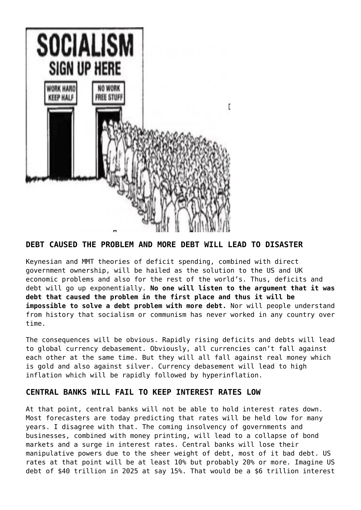

**DEBT CAUSED THE PROBLEM AND MORE DEBT WILL LEAD TO DISASTER**

Keynesian and MMT theories of deficit spending, combined with direct government ownership, will be hailed as the solution to the US and UK economic problems and also for the rest of the world's. Thus, deficits and debt will go up exponentially. **No one will listen to the argument that it was debt that caused the problem in the first place and thus it will be impossible to solve a debt problem with more debt.** Nor will people understand from history that socialism or communism has never worked in any country over time.

The consequences will be obvious. Rapidly rising deficits and debts will lead to global currency debasement. Obviously, all currencies can't fall against each other at the same time. But they will all fall against real money which is gold and also against silver. Currency debasement will lead to high inflation which will be rapidly followed by hyperinflation.

## **CENTRAL BANKS WILL FAIL TO KEEP INTEREST RATES LOW**

At that point, central banks will not be able to hold interest rates down. Most forecasters are today predicting that rates will be held low for many years. I disagree with that. The coming insolvency of governments and businesses, combined with money printing, will lead to a collapse of bond markets and a surge in interest rates. Central banks will lose their manipulative powers due to the sheer weight of debt, most of it bad debt. US rates at that point will be at least 10% but probably 20% or more. Imagine US debt of \$40 trillion in 2025 at say 15%. That would be a \$6 trillion interest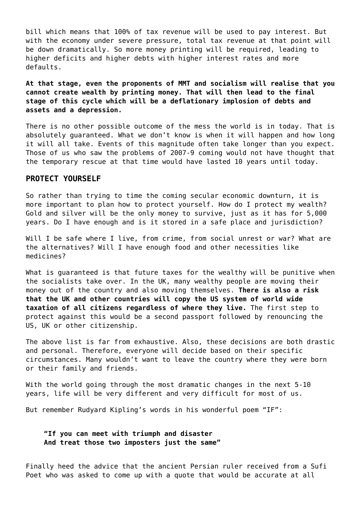bill which means that 100% of tax revenue will be used to pay interest. But with the economy under severe pressure, total tax revenue at that point will be down dramatically. So more money printing will be required, leading to higher deficits and higher debts with higher interest rates and more defaults.

**At that stage, even the proponents of MMT and socialism will realise that you cannot create wealth by printing money. That will then lead to the final stage of this cycle which will be a deflationary implosion of debts and assets and a depression.**

There is no other possible outcome of the mess the world is in today. That is absolutely guaranteed. What we don't know is when it will happen and how long it will all take. Events of this magnitude often take longer than you expect. Those of us who saw the problems of 2007-9 coming would not have thought that the temporary rescue at that time would have lasted 10 years until today.

#### **PROTECT YOURSELF**

So rather than trying to time the coming secular economic downturn, it is more important to plan how to protect yourself. How do I protect my wealth? Gold and silver will be the only money to survive, just as it has for 5,000 years. Do I have enough and is it stored in a safe place and jurisdiction?

Will I be safe where I live, from crime, from social unrest or war? What are the alternatives? Will I have enough food and other necessities like medicines?

What is guaranteed is that future taxes for the wealthy will be punitive when the socialists take over. In the UK, many wealthy people are moving their money out of the country and also moving themselves. **There is also a risk that the UK and other countries will copy the US system of world wide taxation of all citizens regardless of where they live.** The first step to protect against this would be a second passport followed by renouncing the US, UK or other citizenship.

The above list is far from exhaustive. Also, these decisions are both drastic and personal. Therefore, everyone will decide based on their specific circumstances. Many wouldn't want to leave the country where they were born or their family and friends.

With the world going through the most dramatic changes in the next 5-10 years, life will be very different and very difficult for most of us.

But remember Rudyard Kipling's words in his wonderful poem "IF":

**"If you can meet with triumph and disaster And treat those two imposters just the same"**

Finally heed the advice that the ancient Persian ruler received from a Sufi Poet who was asked to come up with a quote that would be accurate at all